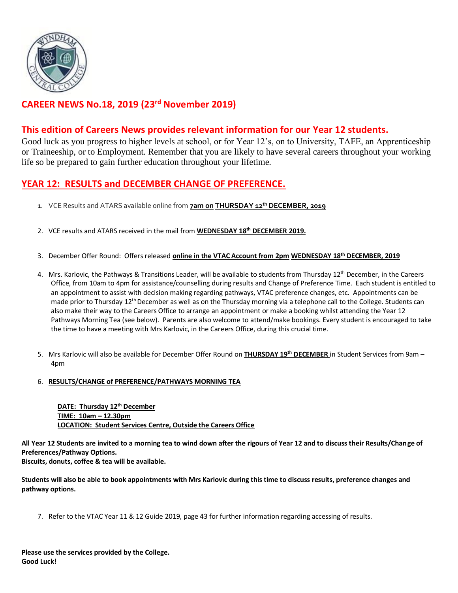

## **CAREER NEWS No.18, 2019 (23 rd November 2019)**

#### **This edition of Careers News provides relevant information for our Year 12 students.**

Good luck as you progress to higher levels at school, or for Year 12's, on to University, TAFE, an Apprenticeship or Traineeship, or to Employment. Remember that you are likely to have several careers throughout your working life so be prepared to gain further education throughout your lifetime.

#### **YEAR 12: RESULTS and DECEMBER CHANGE OF PREFERENCE.**

- 1. VCE Results and ATARS available online from **7am on THURSDAY 12th DECEMBER, 2019**
- 2. VCE results and ATARS received in the mail from **WEDNESDAY 18 th DECEMBER 2019.**
- 3. December Offer Round: Offers released **online in the VTAC Account from 2pm WEDNESDAY 18th DECEMBER, 2019**
- 4. Mrs. Karlovic, the Pathways & Transitions Leader, will be available to students from Thursday 12<sup>th</sup> December, in the Careers Office, from 10am to 4pm for assistance/counselling during results and Change of Preference Time. Each student is entitled to an appointment to assist with decision making regarding pathways, VTAC preference changes, etc. Appointments can be made prior to Thursday 12<sup>th</sup> December as well as on the Thursday morning via a telephone call to the College. Students can also make their way to the Careers Office to arrange an appointment or make a booking whilst attending the Year 12 Pathways Morning Tea (see below). Parents are also welcome to attend/make bookings. Every student is encouraged to take the time to have a meeting with Mrs Karlovic, in the Careers Office, during this crucial time.
- 5. Mrs Karlovic will also be available for December Offer Round on **THURSDAY 19th DECEMBER** in Student Services from 9am 4pm

#### 6. **RESULTS/CHANGE of PREFERENCE/PATHWAYS MORNING TEA**

**DATE: Thursday 12 th December TIME: 10am – 12.30pm LOCATION: Student Services Centre, Outside the Careers Office**

**All Year 12 Students are invited to a morning tea to wind down after the rigours of Year 12 and to discuss their Results/Change of Preferences/Pathway Options.**

**Biscuits, donuts, coffee & tea will be available.**

**Students will also be able to book appointments with Mrs Karlovic during this time to discuss results, preference changes and pathway options.**

7. Refer to the VTAC Year 11 & 12 Guide 2019, page 43 for further information regarding accessing of results.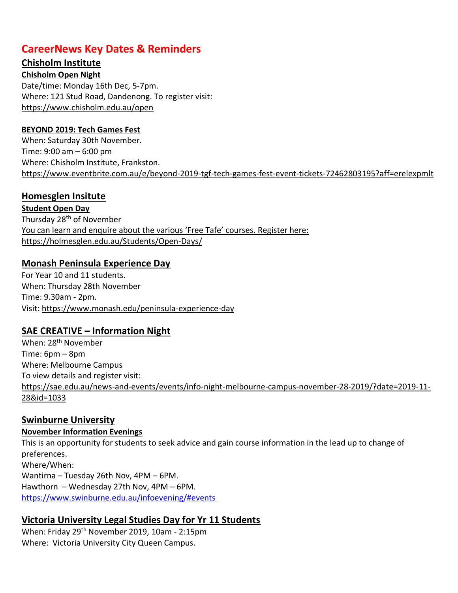## **CareerNews Key Dates & Reminders**

#### **Chisholm Institute**

**Chisholm Open Night** Date/time: Monday 16th Dec, 5-7pm. Where: 121 Stud Road, Dandenong. To register visit: <https://www.chisholm.edu.au/open>

#### **BEYOND 2019: Tech Games Fest**

When: Saturday 30th November. Time: 9:00 am – 6:00 pm Where: Chisholm Institute, Frankston. <https://www.eventbrite.com.au/e/beyond-2019-tgf-tech-games-fest-event-tickets-72462803195?aff=erelexpmlt>

### **Homesglen Insitute**

**Student Open Day** Thursday 28<sup>th</sup> of November You can learn and enquire about the various 'Free Tafe' courses. Register here: <https://holmesglen.edu.au/Students/Open-Days/>

#### **Monash Peninsula Experience Day**

For Year 10 and 11 students. When: Thursday 28th November Time: 9.30am - 2pm. Visit:<https://www.monash.edu/peninsula-experience-day>

#### **SAE CREATIVE – Information Night**

When: 28<sup>th</sup> November Time: 6pm – 8pm Where: Melbourne Campus To view details and register visit: [https://sae.edu.au/news-and-events/events/info-night-melbourne-campus-november-28-2019/?date=2019-11-](https://sae.edu.au/news-and-events/events/info-night-melbourne-campus-november-28-2019/?date=2019-11-28&id=1033) [28&id=1033](https://sae.edu.au/news-and-events/events/info-night-melbourne-campus-november-28-2019/?date=2019-11-28&id=1033)

#### **Swinburne University**

## **November Information Evenings**

This is an opportunity for students to seek advice and gain course information in the lead up to change of preferences. Where/When: Wantirna – Tuesday 26th Nov, 4PM – 6PM. Hawthorn – Wednesday 27th Nov, 4PM – 6PM. <https://www.swinburne.edu.au/infoevening/#events>

# **Victoria University Legal Studies Day for Yr 11 Students**

When: Friday 29th November 2019, 10am - 2:15pm Where: Victoria University City Queen Campus.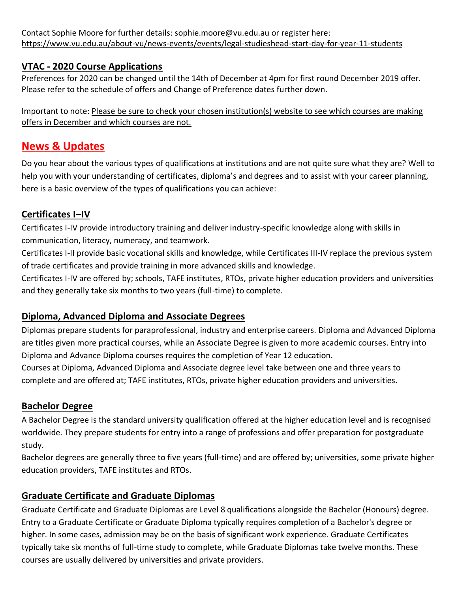Contact Sophie Moore for further details: [sophie.moore@vu.edu.au](mailto:sophie.moore@vu.edu.au) or register here: <https://www.vu.edu.au/about-vu/news-events/events/legal-studieshead-start-day-for-year-11-students>

#### **VTAC - 2020 Course Applications**

Preferences for 2020 can be changed until the 14th of December at 4pm for first round December 2019 offer. Please refer to the schedule of offers and Change of Preference dates further down.

Important to note: Please be sure to check your chosen institution(s) website to see which courses are making offers in December and which courses are not.

## **News & Updates**

Do you hear about the various types of qualifications at institutions and are not quite sure what they are? Well to help you with your understanding of certificates, diploma's and degrees and to assist with your career planning, here is a basic overview of the types of qualifications you can achieve:

### **Certificates I–IV**

Certificates I-IV provide introductory training and deliver industry-specific knowledge along with skills in communication, literacy, numeracy, and teamwork.

Certificates I-II provide basic vocational skills and knowledge, while Certificates III-IV replace the previous system of trade certificates and provide training in more advanced skills and knowledge.

Certificates I-IV are offered by; schools, TAFE institutes, RTOs, private higher education providers and universities and they generally take six months to two years (full-time) to complete.

#### **Diploma, Advanced Diploma and Associate Degrees**

Diplomas prepare students for paraprofessional, industry and enterprise careers. Diploma and Advanced Diploma are titles given more practical courses, while an Associate Degree is given to more academic courses. Entry into Diploma and Advance Diploma courses requires the completion of Year 12 education.

Courses at Diploma, Advanced Diploma and Associate degree level take between one and three years to complete and are offered at; TAFE institutes, RTOs, private higher education providers and universities.

#### **Bachelor Degree**

A Bachelor Degree is the standard university qualification offered at the higher education level and is recognised worldwide. They prepare students for entry into a range of professions and offer preparation for postgraduate study.

Bachelor degrees are generally three to five years (full-time) and are offered by; universities, some private higher education providers, TAFE institutes and RTOs.

## **Graduate Certificate and Graduate Diplomas**

Graduate Certificate and Graduate Diplomas are Level 8 qualifications alongside the Bachelor (Honours) degree. Entry to a Graduate Certificate or Graduate Diploma typically requires completion of a Bachelor's degree or higher. In some cases, admission may be on the basis of significant work experience. Graduate Certificates typically take six months of full-time study to complete, while Graduate Diplomas take twelve months. These courses are usually delivered by universities and private providers.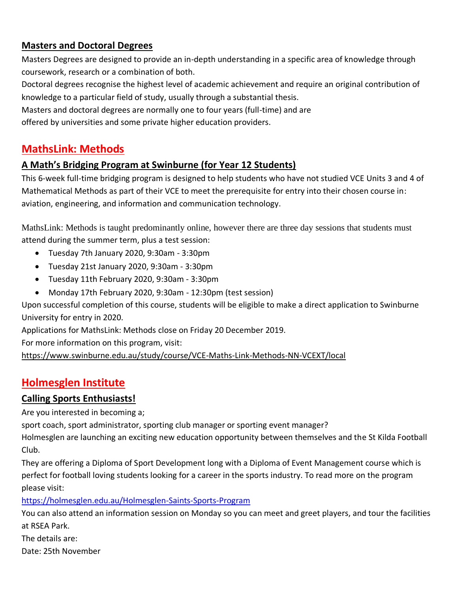### **Masters and Doctoral Degrees**

Masters Degrees are designed to provide an in-depth understanding in a specific area of knowledge through coursework, research or a combination of both.

Doctoral degrees recognise the highest level of academic achievement and require an original contribution of knowledge to a particular field of study, usually through a substantial thesis.

Masters and doctoral degrees are normally one to four years (full-time) and are

offered by universities and some private higher education providers.

## **MathsLink: Methods**

### **A Math's Bridging Program at Swinburne (for Year 12 Students)**

This 6-week full-time bridging program is designed to help students who have not studied VCE Units 3 and 4 of Mathematical Methods as part of their VCE to meet the prerequisite for entry into their chosen course in: aviation, engineering, and information and communication technology.

MathsLink: Methods is taught predominantly online, however there are three day sessions that students must attend during the summer term, plus a test session:

- Tuesday 7th January 2020, 9:30am 3:30pm
- Tuesday 21st January 2020, 9:30am 3:30pm
- Tuesday 11th February 2020, 9:30am 3:30pm
- Monday 17th February 2020, 9:30am 12:30pm (test session)

Upon successful completion of this course, students will be eligible to make a direct application to Swinburne University for entry in 2020.

Applications for MathsLink: Methods close on Friday 20 December 2019.

For more information on this program, visit:

<https://www.swinburne.edu.au/study/course/VCE-Maths-Link-Methods-NN-VCEXT/local>

# **Holmesglen Institute**

#### **Calling Sports Enthusiasts!**

Are you interested in becoming a;

sport coach, sport administrator, sporting club manager or sporting event manager?

Holmesglen are launching an exciting new education opportunity between themselves and the St Kilda Football Club.

They are offering a Diploma of Sport Development long with a Diploma of Event Management course which is perfect for football loving students looking for a career in the sports industry. To read more on the program please visit:

<https://holmesglen.edu.au/Holmesglen-Saints-Sports-Program>

You can also attend an information session on Monday so you can meet and greet players, and tour the facilities at RSEA Park.

The details are:

Date: 25th November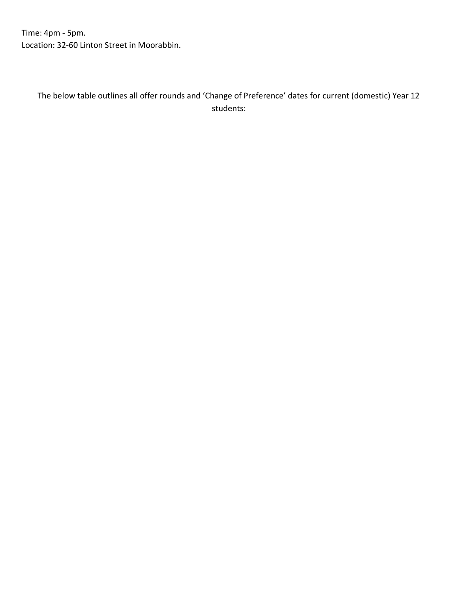Time: 4pm - 5pm. Location: 32-60 Linton Street in Moorabbin.

The below table outlines all offer rounds and 'Change of Preference' dates for current (domestic) Year 12 students: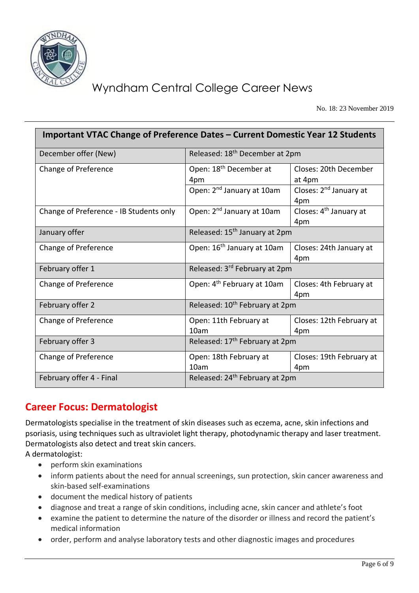

No. 18: 23 November 2019

| Important VTAC Change of Preference Dates – Current Domestic Year 12 Students |                                            |                                           |  |  |  |  |
|-------------------------------------------------------------------------------|--------------------------------------------|-------------------------------------------|--|--|--|--|
| December offer (New)                                                          | Released: 18 <sup>th</sup> December at 2pm |                                           |  |  |  |  |
| Change of Preference                                                          | Open: 18 <sup>th</sup> December at<br>4pm  | Closes: 20th December<br>at 4pm           |  |  |  |  |
|                                                                               | Open: 2 <sup>nd</sup> January at 10am      | Closes: 2 <sup>nd</sup> January at<br>4pm |  |  |  |  |
| Change of Preference - IB Students only                                       | Open: 2 <sup>nd</sup> January at 10am      | Closes: 4 <sup>th</sup> January at<br>4pm |  |  |  |  |
| January offer                                                                 | Released: 15 <sup>th</sup> January at 2pm  |                                           |  |  |  |  |
| Change of Preference                                                          | Open: 16 <sup>th</sup> January at 10am     | Closes: 24th January at<br>4pm            |  |  |  |  |
| February offer 1                                                              | Released: 3rd February at 2pm              |                                           |  |  |  |  |
| Change of Preference                                                          | Open: 4 <sup>th</sup> February at 10am     | Closes: 4th February at<br>4pm            |  |  |  |  |
| February offer 2                                                              | Released: 10 <sup>th</sup> February at 2pm |                                           |  |  |  |  |
| Change of Preference                                                          | Open: 11th February at<br>10 <sub>am</sub> | Closes: 12th February at<br>4pm           |  |  |  |  |
| February offer 3                                                              | Released: 17 <sup>th</sup> February at 2pm |                                           |  |  |  |  |
| Change of Preference                                                          | Open: 18th February at<br>10am             | Closes: 19th February at<br>4pm           |  |  |  |  |
| February offer 4 - Final                                                      | Released: 24 <sup>th</sup> February at 2pm |                                           |  |  |  |  |

# **Career Focus: Dermatologist**

Dermatologists specialise in the treatment of skin diseases such as eczema, acne, skin infections and psoriasis, using techniques such as ultraviolet light therapy, photodynamic therapy and laser treatment. Dermatologists also detect and treat skin cancers.

A dermatologist:

- perform skin examinations
- inform patients about the need for annual screenings, sun protection, skin cancer awareness and skin-based self-examinations
- document the medical history of patients
- diagnose and treat a range of skin conditions, including acne, skin cancer and athlete's foot
- examine the patient to determine the nature of the disorder or illness and record the patient's medical information
- order, perform and analyse laboratory tests and other diagnostic images and procedures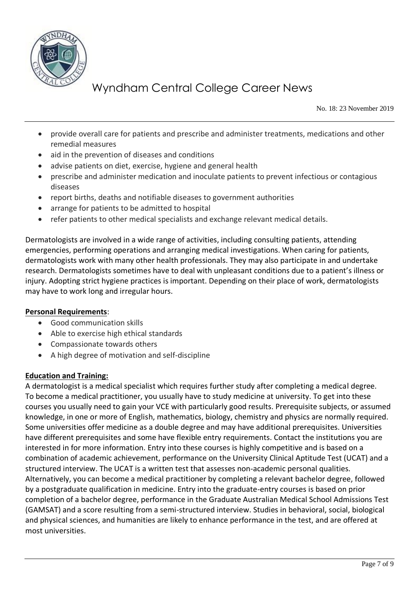

No. 18: 23 November 2019

- provide overall care for patients and prescribe and administer treatments, medications and other remedial measures
- aid in the prevention of diseases and conditions
- advise patients on diet, exercise, hygiene and general health
- prescribe and administer medication and inoculate patients to prevent infectious or contagious diseases
- report births, deaths and notifiable diseases to government authorities
- arrange for patients to be admitted to hospital
- refer patients to other medical specialists and exchange relevant medical details.

Dermatologists are involved in a wide range of activities, including consulting patients, attending emergencies, performing operations and arranging medical investigations. When caring for patients, dermatologists work with many other health professionals. They may also participate in and undertake research. Dermatologists sometimes have to deal with unpleasant conditions due to a patient's illness or injury. Adopting strict hygiene practices is important. Depending on their place of work, dermatologists may have to work long and irregular hours.

#### **Personal Requirements**:

- Good communication skills
- Able to exercise high ethical standards
- Compassionate towards others
- A high degree of motivation and self-discipline

#### **Education and Training:**

A dermatologist is a medical specialist which requires further study after completing a medical degree. To become a medical practitioner, you usually have to study medicine at university. To get into these courses you usually need to gain your VCE with particularly good results. Prerequisite subjects, or assumed knowledge, in one or more of English, mathematics, biology, chemistry and physics are normally required. Some universities offer medicine as a double degree and may have additional prerequisites. Universities have different prerequisites and some have flexible entry requirements. Contact the institutions you are interested in for more information. Entry into these courses is highly competitive and is based on a combination of academic achievement, performance on the University Clinical Aptitude Test (UCAT) and a structured interview. The UCAT is a written test that assesses non-academic personal qualities. Alternatively, you can become a medical practitioner by completing a relevant bachelor degree, followed by a postgraduate qualification in medicine. Entry into the graduate-entry courses is based on prior completion of a bachelor degree, performance in the Graduate Australian Medical School Admissions Test (GAMSAT) and a score resulting from a semi-structured interview. Studies in behavioral, social, biological and physical sciences, and humanities are likely to enhance performance in the test, and are offered at most universities.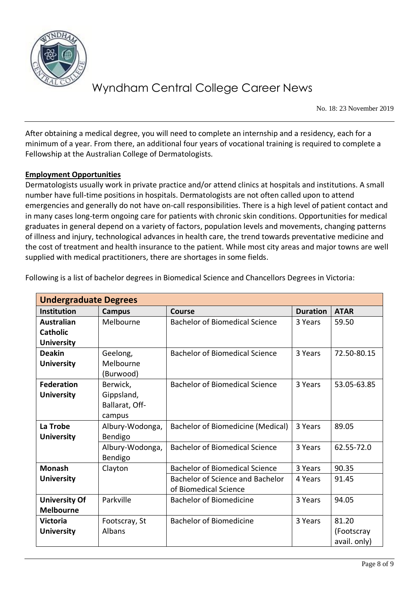

No. 18: 23 November 2019

After obtaining a medical degree, you will need to complete an internship and a residency, each for a minimum of a year. From there, an additional four years of vocational training is required to complete a Fellowship at the Australian College of Dermatologists.

#### **Employment Opportunities**

Dermatologists usually work in private practice and/or attend clinics at hospitals and institutions. A small number have full-time positions in hospitals. Dermatologists are not often called upon to attend emergencies and generally do not have on-call responsibilities. There is a high level of patient contact and in many cases long-term ongoing care for patients with chronic skin conditions. Opportunities for medical graduates in general depend on a variety of factors, population levels and movements, changing patterns of illness and injury, technological advances in health care, the trend towards preventative medicine and the cost of treatment and health insurance to the patient. While most city areas and major towns are well supplied with medical practitioners, there are shortages in some fields.

| <b>Undergraduate Degrees</b> |                 |                                       |                 |              |  |  |
|------------------------------|-----------------|---------------------------------------|-----------------|--------------|--|--|
| <b>Institution</b>           | <b>Campus</b>   | <b>Course</b>                         | <b>Duration</b> | <b>ATAR</b>  |  |  |
| <b>Australian</b>            | Melbourne       | <b>Bachelor of Biomedical Science</b> | 3 Years         | 59.50        |  |  |
| <b>Catholic</b>              |                 |                                       |                 |              |  |  |
| <b>University</b>            |                 |                                       |                 |              |  |  |
| <b>Deakin</b>                | Geelong,        | <b>Bachelor of Biomedical Science</b> | 3 Years         | 72.50-80.15  |  |  |
| <b>University</b>            | Melbourne       |                                       |                 |              |  |  |
|                              | (Burwood)       |                                       |                 |              |  |  |
| <b>Federation</b>            | Berwick,        | <b>Bachelor of Biomedical Science</b> | 3 Years         | 53.05-63.85  |  |  |
| <b>University</b>            | Gippsland,      |                                       |                 |              |  |  |
|                              | Ballarat, Off-  |                                       |                 |              |  |  |
|                              | campus          |                                       |                 |              |  |  |
| La Trobe                     | Albury-Wodonga, | Bachelor of Biomedicine (Medical)     | 3 Years         | 89.05        |  |  |
| <b>University</b>            | Bendigo         |                                       |                 |              |  |  |
|                              | Albury-Wodonga, | <b>Bachelor of Biomedical Science</b> | 3 Years         | 62.55-72.0   |  |  |
|                              | Bendigo         |                                       |                 |              |  |  |
| <b>Monash</b>                | Clayton         | <b>Bachelor of Biomedical Science</b> | 3 Years         | 90.35        |  |  |
| <b>University</b>            |                 | Bachelor of Science and Bachelor      | 4 Years         | 91.45        |  |  |
|                              |                 | of Biomedical Science                 |                 |              |  |  |
| <b>University Of</b>         | Parkville       | <b>Bachelor of Biomedicine</b>        | 3 Years         | 94.05        |  |  |
| <b>Melbourne</b>             |                 |                                       |                 |              |  |  |
| <b>Victoria</b>              | Footscray, St   | <b>Bachelor of Biomedicine</b>        | 3 Years         | 81.20        |  |  |
| <b>University</b>            | Albans          |                                       |                 | (Footscray   |  |  |
|                              |                 |                                       |                 | avail. only) |  |  |

Following is a list of bachelor degrees in Biomedical Science and Chancellors Degrees in Victoria: